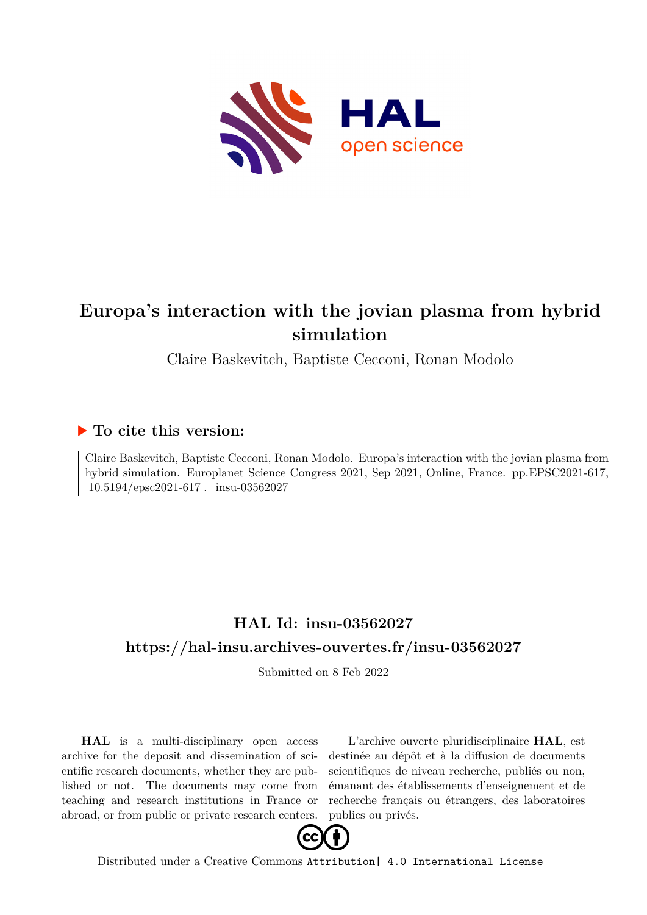

# **Europa's interaction with the jovian plasma from hybrid simulation**

Claire Baskevitch, Baptiste Cecconi, Ronan Modolo

## **To cite this version:**

Claire Baskevitch, Baptiste Cecconi, Ronan Modolo. Europa's interaction with the jovian plasma from hybrid simulation. Europlanet Science Congress 2021, Sep 2021, Online, France. pp.EPSC2021-617,  $10.5194/\text{epsc2021-617}$ . insu-03562027

## **HAL Id: insu-03562027 <https://hal-insu.archives-ouvertes.fr/insu-03562027>**

Submitted on 8 Feb 2022

**HAL** is a multi-disciplinary open access archive for the deposit and dissemination of scientific research documents, whether they are published or not. The documents may come from teaching and research institutions in France or abroad, or from public or private research centers.

L'archive ouverte pluridisciplinaire **HAL**, est destinée au dépôt et à la diffusion de documents scientifiques de niveau recherche, publiés ou non, émanant des établissements d'enseignement et de recherche français ou étrangers, des laboratoires publics ou privés.



Distributed under a Creative Commons [Attribution| 4.0 International License](http://creativecommons.org/licenses/by/4.0/)